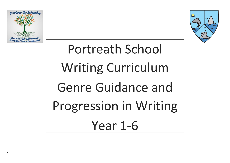



# Portreath School Writing Curriculum Genre Guidance and Progression in Writing Year 1-6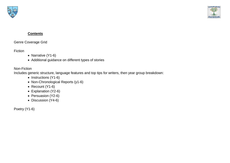

# **Contents**

Genre Coverage Grid

Fiction

- Narrative (Y1-6)
- Additional guidance on different types of stories

# Non-Fiction

Includes generic structure, language features and top tips for writers, then year group breakdown:

- Instructions (Y1-6)
- Non-Chronological Reports (y1-6)
- Recount (Y1-6)
- Explanation (Y2-6)
- Persuasion (Y2-6)
- Discussion (Y4-6)

Poetry (Y1-6)

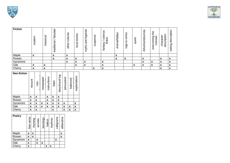

| <b>Fiction</b> | moder                                              | historical                                | tale<br>↗<br>fair<br>$\overline{a}$<br>traditio | cultures<br>other             | stories<br>local | legends<br>and<br>myths | suspense | Φ<br>ပ<br>Φ<br><br>SCI<br>tion<br>ے۔<br>تا<br><u>ගි</u><br>fanta | ၯ<br>nimal/fable<br>◅ | ဖ<br>riches<br>$\mathbf{c}$<br>rags | ىپ<br>quest    | rey<br>e/jo<br>⊭<br>Φ<br>ರ<br>འ | the<br>ercoming<br>monste<br>б | description<br>character                              | description<br>setting                 |
|----------------|----------------------------------------------------|-------------------------------------------|-------------------------------------------------|-------------------------------|------------------|-------------------------|----------|------------------------------------------------------------------|-----------------------|-------------------------------------|----------------|---------------------------------|--------------------------------|-------------------------------------------------------|----------------------------------------|
| Maple          | $\mathbf{v}$<br>$\boldsymbol{\mathsf{A}}$          |                                           | X                                               | X                             |                  |                         |          |                                                                  | X                     |                                     |                |                                 |                                |                                                       |                                        |
| Rowan          |                                                    |                                           | X                                               | $\overline{\phantom{a}}$<br>A | X                |                         |          |                                                                  | X                     | X                                   |                | X                               |                                | $\mathbf{v}$<br>$\overline{\phantom{a}}$              | $\boldsymbol{\lambda}$                 |
| Sycamore       |                                                    |                                           |                                                 | X                             | X                | X                       |          | $\mathbf{v}$<br>$\boldsymbol{\lambda}$                           |                       |                                     |                | X                               | X                              | $\mathbf{v}$<br>$\boldsymbol{\mathsf{A}}$             | $\mathbf{v}$<br>$\boldsymbol{\lambda}$ |
| Oak            | $\mathbf{v}$<br>$\boldsymbol{\mathsf{A}}$          | X                                         |                                                 |                               | X                | X                       |          | $\mathbf{v}$<br>$\boldsymbol{\mathsf{A}}$                        |                       |                                     | v<br>$\lambda$ | X                               | X                              | v<br>$\mathbf{\Lambda}$                               | $\boldsymbol{\mathsf{A}}$              |
| Cherry         | $\overline{\phantom{a}}$<br>$\boldsymbol{\lambda}$ | $\mathbf{v}$<br>$\boldsymbol{\mathsf{A}}$ |                                                 |                               |                  |                         | X        | X                                                                |                       |                                     |                |                                 |                                | $\overline{\phantom{a}}$<br>$\boldsymbol{\mathsf{A}}$ | $\overline{\phantom{a}}$               |

| <b>Poetry</b> | free verse  | thyming | acrostic | kennings | haikus | rhythmic | calligrams | alliterative              |
|---------------|-------------|---------|----------|----------|--------|----------|------------|---------------------------|
| Maple         | X           | χ       |          |          |        |          |            | X                         |
| Rowan         | X           | X       |          |          |        |          |            | $\boldsymbol{\mathsf{X}}$ |
| Sycamore      | $\mathbf x$ |         | X        |          |        |          | X          |                           |
| Oak           | X           |         | X        | X        |        |          |            |                           |
| Cherry        | X           |         |          |          | X      | X        |            |                           |





| <b>Non-fiction</b> | recount                   | non- | newspaper | instructions | letter                    | diary/travel log | persuasive | balanced | explanations       |
|--------------------|---------------------------|------|-----------|--------------|---------------------------|------------------|------------|----------|--------------------|
| Maple              | X                         | X    |           | X            | X                         | X                |            |          |                    |
| Rowan              | $\boldsymbol{\mathsf{X}}$ | X    |           | X            | $\boldsymbol{\mathsf{X}}$ | X                |            |          |                    |
| Sycamore           | X                         | X    | X         | X            | X                         | X                | X          |          | X                  |
| Oak                | X                         | X    | X         | X            | $\boldsymbol{\mathsf{X}}$ | X                | X          | X        | $\pmb{\mathsf{X}}$ |
| Cherry             | X                         | X    |           |              | X                         |                  | X          | X        | $\pmb{\mathsf{X}}$ |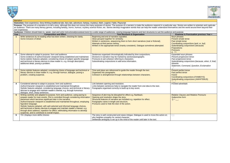

|                 | <b>Narrative</b>                                                                                                                                                                                                                                                                                                                                                                                                                                                                                                                                                                                                                                        |                                                                                                                                                                                                                                                                                                        |                                                                                                                                                                                                  |  |  |  |
|-----------------|---------------------------------------------------------------------------------------------------------------------------------------------------------------------------------------------------------------------------------------------------------------------------------------------------------------------------------------------------------------------------------------------------------------------------------------------------------------------------------------------------------------------------------------------------------------------------------------------------------------------------------------------------------|--------------------------------------------------------------------------------------------------------------------------------------------------------------------------------------------------------------------------------------------------------------------------------------------------------|--------------------------------------------------------------------------------------------------------------------------------------------------------------------------------------------------|--|--|--|
|                 | Outcomes: Own experience, Story Writing (traditional tale, fairy tale, adventure, fantasy, mystery), Myth, Legend, Fable, Playscript                                                                                                                                                                                                                                                                                                                                                                                                                                                                                                                    |                                                                                                                                                                                                                                                                                                        |                                                                                                                                                                                                  |  |  |  |
|                 |                                                                                                                                                                                                                                                                                                                                                                                                                                                                                                                                                                                                                                                         | Purpose: The purpose of a narrative is to tell a story, although this does not convey the many purposes of stories. The purpose of a narrator is make the audience respond in a particular way. Stories are written to enterta                                                                         |                                                                                                                                                                                                  |  |  |  |
|                 | own experience.                                                                                                                                                                                                                                                                                                                                                                                                                                                                                                                                                                                                                                         | an audience. There are many literary genres, including fantasy, horror, humour, mystery science fiction, etc. Stories develop imaginative worlds that can help the reader understand themselves and the world around them beyo                                                                         |                                                                                                                                                                                                  |  |  |  |
|                 | Audience: Children should listen to, speak, read and write instructional/procedural texts for a wide range of audiences, varying language features and text structures to suit the audience and purpose.                                                                                                                                                                                                                                                                                                                                                                                                                                                |                                                                                                                                                                                                                                                                                                        |                                                                                                                                                                                                  |  |  |  |
| Year            | <b>Composition and Effect</b>                                                                                                                                                                                                                                                                                                                                                                                                                                                                                                                                                                                                                           | <b>Text Structure &amp; Organisation</b>                                                                                                                                                                                                                                                               | <b>Grammar &amp; Punctuation previous Year +</b>                                                                                                                                                 |  |  |  |
|                 | Write sentences by re-reading what has been written, checking for clarity.<br>Some inclusion of detail.                                                                                                                                                                                                                                                                                                                                                                                                                                                                                                                                                 | Beginning and end of narrative signalled.<br>Ideas grouped together for similarity.<br>Written in sentences, sequencing them to form short narratives (real or fictional).<br>Attempts at third person writing.<br>Written in the appropriate tense (mainly consistent). Dialogue sometimes attempted. | Noun phrases<br>Present simple tense<br>Past simple tense<br>Coordinating conjunctions (and, or, but)<br>Subordinating conjunctions (because)<br><b>Prepositions</b><br><b>Pronouns</b><br>A. ?! |  |  |  |
| $\mathbf{2}$    | Some attempt to adapt to purpose, form and audience.<br>Some evidence of author/character viewpoint being established and maintained<br>Some stylistic features adopted, considering choice of subject specific language<br>and technical or literary devices to draw reader in, e.g. through description,<br>additional detail, posing a problem.                                                                                                                                                                                                                                                                                                      | Sentences organised chronologically indicated by time conjunctions.<br>Divisions in narrative may be marked by sections/paragraphs.<br>Pronouns to aid cohesion referring to characters.<br>Subordinating conjunctions to add extra information.                                                       | Expanded noun phrases<br>Present progressive tense<br>Past progressive tense<br>Subordinating conjunctions (because, when, if, that)<br>Adverbs<br>Statement, Command, Question, Exclamation     |  |  |  |
| 3               | Some stylistic features adopted, considering choice of language and technical or<br>literary devices to draw reader in, e.g. through humour, dialogue, posing a<br>problem, creating suspense.                                                                                                                                                                                                                                                                                                                                                                                                                                                          | Time and place are referenced to guide the reader through the text.<br>Organised into paragraphs.<br>Cohesion is strengthened through relationships between characters.                                                                                                                                | <b>Present perfect tense</b><br>Past perfect tense<br><b>Future</b><br>Coordinating conjunctions (FANBOYS)<br>Subordinating conjunctions (AWHITEBUS)                                             |  |  |  |
|                 | Considered attempt to adapt to purpose, form and audience.<br>Author/character viewpoint is established and maintained throughout.<br>Stylistic features adopted, considering language choices, and technical or literary<br>devices to engage and maintain reader's interest, e.g. through humorous<br>dialogue, short, sharp sentences.                                                                                                                                                                                                                                                                                                               | Link between opening and resolution.<br>Links between sentences help to navigate the reader from one idea to the next.<br>Paragraphs organised correctly to build up to key event.                                                                                                                     | <b>Fronted adverbials</b>                                                                                                                                                                        |  |  |  |
| $5\phantom{.0}$ | Writing carefully and adapted to purpose, form and audience, using pacing to<br>prepare reader for main events. Plot is controlled through considering information<br>placement which becomes significant later in the narrative.<br>Author/character viewpoint is established and maintained throughout, employing<br>figurative language.<br>Stylistic features adopted, with well-selected and informed language choices,<br>and technical or literary devices to engage and maintain reader's interest, e.g.<br>through direct address; repetition for effect; withholding information to develop<br>suspense, and to contribute to overall impact. | Sequence of plot may be disrupted for effect e.g. flashback.<br>Opening and resolution shape the story.<br>Structural features of narrative are included e.g. repetition for effect.<br>Paragraphs varies in length and structure.<br>Pronouns used to hide the doer of the action.                    | <b>Relative Clauses and Relative Pronouns</b><br>Subjunctive form<br>$() - , \_ ,$                                                                                                               |  |  |  |
| 6               | Y5+.Displays more skilful choices                                                                                                                                                                                                                                                                                                                                                                                                                                                                                                                                                                                                                       | The story is well constructed and raises intrigue. Dialogue is used to move the action on<br>who heighten empathy for central character.<br>Deliberate ambiguity is set up in the mind of the reader until later in the text.                                                                          | $-11.7$                                                                                                                                                                                          |  |  |  |

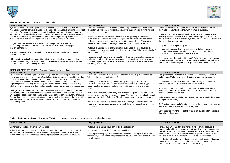

| <b>ADVENTURE STORY</b><br>To entertain.<br><b>Purpose:</b>                                                                                                                                                                   |                                                                                                                                                                                          |                                                                                |
|------------------------------------------------------------------------------------------------------------------------------------------------------------------------------------------------------------------------------|------------------------------------------------------------------------------------------------------------------------------------------------------------------------------------------|--------------------------------------------------------------------------------|
| <b>Generic structure</b>                                                                                                                                                                                                     | Language features                                                                                                                                                                        | <b>Top Tips for the writer</b>                                                 |
| Typically a recount or retelling of a series of exciting events leading to a high impact                                                                                                                                     | An effective blend of action, dialogue and description develops archetypical                                                                                                             | Create characters your                                                         |
| resolution. The most common structure is a chronological narrative. Building excitement<br>as the hero faces and overcomes adversity is an important element, so more complex                                                | characters whothe reader will care about, at the same time as moving the plot<br>along at an exciting pace.                                                                              | the readerlike your herd                                                       |
| structures such as flashbacks are less common. Archetypical charactersare the norm                                                                                                                                           |                                                                                                                                                                                          | Create a villain that is a                                                     |
| and much of the building tension comes from the reader predicting who or what                                                                                                                                                | Description adds to the sense of adventure by heightening the reader's                                                                                                                   | definitely doesn't want t                                                      |
| represents the threat (the villain) and what is likely to go wrong for the hero.                                                                                                                                             | awareness, e.g. a sense of potential danger (The cliffs were high and jagged )                                                                                                           | dislike most often work                                                        |
|                                                                                                                                                                                                                              | or dropping clues to encourage involvement throughprediction (The captain                                                                                                                | they might just get away                                                       |
| Longer narratives build tension in waves, with one problem after another                                                                                                                                                     | welcomed them aboard but his eyes were narrow and cruel-looking )                                                                                                                        |                                                                                |
| accelerating the adventure inseveral sections or chapters, with the high point of<br>tension near the end.                                                                                                                   |                                                                                                                                                                                          | Keep the plot moving bu                                                        |
|                                                                                                                                                                                                                              | Dialogue is an element of characterisation but is used more to advance the<br>action than to explore acharacter's feelings or motivation. "What was that noise?                          | use fast-moving act                                                            |
| The story can take place in any setting where there is thepotential for adventure through<br>a danger or threat.                                                                                                             | Did you hear it too?"                                                                                                                                                                    | slow things down a<br>want to build tensio                                     |
|                                                                                                                                                                                                                              | Language usually has a cinematic quality, with powerful, evocative vocabulary                                                                                                            |                                                                                |
| ICT 'adventure' texts often employ different structures, allowing the user to select<br>different routes through the order of events, sometimes with different resolutions that<br>depend on the choices made by the reader. | and strong, varied verbs for action scenes. (He leaped from his horse, charged<br>into the banquet hall and hurtled himself onto the table where the prince was<br>devouring a chicken.) | Can you surprise the re<br>insignificant saves the c<br>characterthat appeared |

| <b>SUSPENSE/MYSTERY STORY</b> Purpose: To intrigue and entertain.                          |                                                                                       |                                |
|--------------------------------------------------------------------------------------------|---------------------------------------------------------------------------------------|--------------------------------|
| <b>Generic structure</b>                                                                   | Language features                                                                     | <b>Top Tips for the writer</b> |
| Structure is often chronological, even in a longer narrative, but complex structural       | The narrator uses questions to exaggerate themystery, e.g. Who could it be?           | Use questions to highlig       |
| techniques are sometimes used for effect. Different structures can be used for layering    | Why had the car suddenly stopped?                                                     | sudden noise! What co          |
| of information or drip-feeding facts to build up a full picture for the reader, e.g. using |                                                                                       |                                |
| flashbacks to fill in information needed that wasn't provided earlierin the story or       | Language is used to intensify the mystery, particularly adjectives and                | Decide what the myster         |
| organising sections so they tell the story both beforeand after a key event. Knowing       | adverbials. Sometypical vocabulary is associated with this narrative type             | fairly soon so the reade       |
| what is going to happen and then reading about it happening can add to the suspense.       | (puzzling, strange, peculiar, baffling, weird, odd, secretive, unexplained,           |                                |
|                                                                                            | bewildering).                                                                         | Keep readers interested        |
| Settings are often places the main character is unfamiliar with. Different cultures often  |                                                                                       | much away too soon. D          |
| share views about the kinds of settings thatseem mysterious (deep, dark forests, old,      | Use of pronouns to create mystery by avoiding naming or defining characters,          | and think about along th       |
| uninhabited places, lonely rural landscapes). Other settings can be very familiar places   | especially whenthey first appear in the story. (First line: He climbed in through the |                                |
| (school, home, the local town) but with an added ingredient that triggers the mystery (a   | window on the stroke of midnight. The wind howled and there was no moon.)             | Make adventurous word          |
| stranger arrives in town, a parcel arrives, people begin acting strangely, something       |                                                                                       | what you're describing.        |
| unusual happens).                                                                          | Use of the pronoun 'it' to suggest a non-human or mysterious character. (And          |                                |
|                                                                                            | that's when I sawit, creeping carefully along behind the hedge. It wasn't much        | Don't just say someone         |
|                                                                                            | taller than me.)                                                                      | describing them, theirad       |
|                                                                                            |                                                                                       |                                |
|                                                                                            |                                                                                       | Don't describe everythir       |
|                                                                                            |                                                                                       | than what is described.        |

| <b>Modern/Contemporary Story</b><br><b>Purpose:</b> To entertain and, sometimes, to create empathy with familiar characters.                                                                                                                                                                                              |                                                                                                                                                                                                                                                                                                           |                                                                                                                                                                                                                                 |  |  |  |
|---------------------------------------------------------------------------------------------------------------------------------------------------------------------------------------------------------------------------------------------------------------------------------------------------------------------------|-----------------------------------------------------------------------------------------------------------------------------------------------------------------------------------------------------------------------------------------------------------------------------------------------------------|---------------------------------------------------------------------------------------------------------------------------------------------------------------------------------------------------------------------------------|--|--|--|
| <b>Generic structure</b>                                                                                                                                                                                                                                                                                                  | Language features                                                                                                                                                                                                                                                                                         | <b>Top Tips for the writer</b>                                                                                                                                                                                                  |  |  |  |
| Contemporary settings are often familiar ones.<br>This type of narrative includes school stories, things that happen in the home or in local<br>settings that children either know themselves orrecognise. Stories therefore often<br>reflect children's own experiences, are often personal and structured as a recount. | Dialogue plays an important part in the characterisation.<br>Characters tend to use languagefamiliar to children.<br>Contemporary language features include the informal dialogue children use<br>themselves, as well as familiar phrases from adults at home and school(Don't let<br>me tell you again!) | Hero and villain charact<br>characters look like ordi<br>can still create strong cl<br>seem on the outside $-$ a<br>hero and a smiling old la<br>You don't need to write<br>you only use dialogue b<br>information for the read |  |  |  |



your readers will havea strong opinion about. Make r hero so they want him/her to succeed.

at is a good match for the hero, someone the reader want to win in the end. Don't forget that villains we work in subtle ways. They do sneaky, mean things that awaywith.

ing but vary the pace:

ng action to createexcitement at a high point; own a little with description or dialogue when you tension and create suspense.

the reader at the end? Perhaps someone who seemed ithe day and turns outto be a real hero, or perhaps a eared good and helpful turns outto be two-faced.

highlight key moments as the mystery deepens (A hat could be making that low mumbling sound?).

mystery is beforeyou begin writing and introduce it factor is to find out the solution.

erested by hinting and suggesting but don't give too oon. Drop clues and puzzles for the reader to pick up along the way.

us word choices tomake your reader really think about ribing.

meone is 'mysterious', make them seem mysterious by theiractions or what they say.

verything in detail. What is left out can often be scarier cribed.

aracters are more difficult to create because the e ordinary people, not superheroes or monsters. You  $\log$  characters because they aren't always what they  $\alpha$  = a nervous little boy might turn out to be a brave old lady might not really be a kind character.

write everything that is said to tell the story.Make sure gue because it helps to create acharacter, provides reader or moves the action along.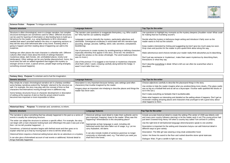

**Science Fiction Purpose**: To intrigue and entertain.

| <b>Generic structure</b>                                                                                                                                                                                                              | Language features                                                                                                                                                                                                                     | Top Tips for the writer                                                         |
|---------------------------------------------------------------------------------------------------------------------------------------------------------------------------------------------------------------------------------------|---------------------------------------------------------------------------------------------------------------------------------------------------------------------------------------------------------------------------------------|---------------------------------------------------------------------------------|
| Structure is often chronological, even in a longer narrative, but complex<br>structural techniques are sometimes used for effect. Different structures<br>can be used for layering of information or drip-feeding facts to build up a | The narrator uses questions to exaggerate themystery, e.g. Who could it<br>be? Why had the car suddenly stopped?                                                                                                                      | Use questions to highlight key momen<br>be making that low mumbling sound?).    |
| full picture for the reader, e.g. using flashbacks to fill in information<br>needed that wasn't provided earlierin the story or organising sections so<br>they tell the story both beforeand after a key event. Knowing what is       | Language is used to intensify the mystery, particularly adjectives and<br>adverbials. Sometypical vocabulary is associated with this narrative type<br>(puzzling, strange, peculiar, baffling, weird, odd, secretive, unexplained,    | Decide what the mystery is beforeyou<br>reader wants to find out the solution.  |
| going to happen and then reading about it happening can add to the<br>suspense.                                                                                                                                                       | bewildering).                                                                                                                                                                                                                         | Keep readers interested by hinting and<br>Drop clues and puzzles for the reader |
| Settings are often places the main character is unfamiliar with. Different<br>cultures often share views about the kinds of settings thatseem                                                                                         | Use of pronouns to create mystery by avoiding naming or defining characters,<br>especially when they first appear in the story. (First line: He climbed in<br>through the window on the stroke of midnight. The wind howled and there | Make adventurous word choices tomal                                             |
| mysterious (deep, dark forests, old, uninhabited places, lonely rural<br>landscapes). Other settings can be very familiar places (school, home, the                                                                                   | was no moon.)                                                                                                                                                                                                                         | Don't just say someone is 'mysterious'<br>theiractions or what they say.        |
| local town) but with an added ingredient that triggers the mystery (a<br>stranger arrives in town, a parcel arrives, people begin acting strangely,<br>something unusual happens).                                                    | Use of the pronoun 'it' to suggest a non-human or mysterious character.<br>(And that's when I sawit, creeping carefully along behind the hedge. It<br>wasn't much taller than me.)                                                    | Don't describe everything in detail. Wh<br>described.                           |
|                                                                                                                                                                                                                                       |                                                                                                                                                                                                                                       |                                                                                 |

| Fantasy Story Purpose: To entertain and to fuel the imagination.                                                                                                                                                                                                                                                                                                                                                                                                                                              |                                                                                                                                                                                                                                    |                                                                                                                                                                                                                                                                                                  |  |  |  |
|---------------------------------------------------------------------------------------------------------------------------------------------------------------------------------------------------------------------------------------------------------------------------------------------------------------------------------------------------------------------------------------------------------------------------------------------------------------------------------------------------------------|------------------------------------------------------------------------------------------------------------------------------------------------------------------------------------------------------------------------------------|--------------------------------------------------------------------------------------------------------------------------------------------------------------------------------------------------------------------------------------------------------------------------------------------------|--|--|--|
| <b>Generic structure</b>                                                                                                                                                                                                                                                                                                                                                                                                                                                                                      | Language features                                                                                                                                                                                                                  | Top Tips for the writer                                                                                                                                                                                                                                                                          |  |  |  |
| May simply be a basic chronological narrative set in a fantasy worldbut<br>some fantasy narratives extend the 'fantastic' element to the structure as<br>well. For example, the story may play with the concept of time so that<br>characters find themselves moving through time in adifferent way.<br>Some fantasy structures focus on character development or description<br>of setting at the expense of plot so that the actual order of events<br>becomes less important or even impossible to follow. | Description is very important because fantasy uses settings (and often<br>characters) that mustbe imagined by the reader.<br>Imagery plays an important role inhelping to describe places and things the<br>reader has never seen. | Choose adjectives carefully to descril<br>Use similes to help the reader imagin<br>was as big as a football field and as t<br>ice in the sun.)<br>Don't make everything so fantastic th<br>Make what happens as interesting are<br>involvedin creating amazing places a<br>what happens to them. |  |  |  |

**Historical Story Purpose:** To entertain and, sometimes, to inform.

| Generic structure                                                                                                                                                                                                            | Language features                                                                                                            | <b>Top Tips for the writer</b>                                                   |
|------------------------------------------------------------------------------------------------------------------------------------------------------------------------------------------------------------------------------|------------------------------------------------------------------------------------------------------------------------------|----------------------------------------------------------------------------------|
| The narrative is about something that has already happened in the past so a series of<br>events is usually the underlying structure.                                                                                         | Historical settings need detail to make them authentic and to<br>give important 'mapping' clues to the reader. When was this | Include accurate historical detail to o<br>and many poor country folkwere star   |
| The writer can adapt the structure to achieve a specific effect. For example, the story<br>can begin with a main character looking back and reflectingon the past (I was just a lad<br>then. Let me tell youwhat happened ). | happening? Whereabouts is this storytaking place?<br>Appropriate archaic language is used, including old-                    | just been crowned King Henry VIII w<br>Use the right kind of old-fashioned la    |
| Sometimes, a historical narrative begins with the final event and then goes on to<br>explain what led up to that by moving back in time to tell the whole story.                                                             | fashioned words that have fallen out of usage, e.g. Let me<br>carry thybasket, old dame.                                     | Description is important for the settin<br>different ways to give variety:       |
| Historical fiction requires a historical setting butcan also be an adventure or a mystery.                                                                                                                                   | It can also include models of sentence grammar no longer<br>commonly or informally used, e.g. That which you seek, you       | Description: The little girl was wearin<br>Action: He threw his sword to the flo |
| It can also give a fictionalised account of real events or additional, fictional detail to<br>things thatreally happened.                                                                                                    | shall find in the forest.                                                                                                    | Dialogue: Wait, I'll get a candle to lig                                         |



ents as the mystery deepens (Asudden noise! What could

bu begin writing and introduce it fairly soon so the

Ind suggesting but don't give too much away too soon. er to pick upand think about along the way.

hake your reader really think aboutwhat you're describing.

us', make them seem mysterious by describing them,

Vhat is left out can often be scarierthan what is

be the placesand things in the story.

e what you aredescribing more clearly. (The glass castle tall as a skyscraper. It'sclear walls sparkled like blocks of

nat it isunbelievable.

Ind detailed as the setting where it happens. Don't get so and characters that youforget to tell a good story about

create the setting (The winter of 1509 was bitterly cold rving) or let the reader work it out (The young prince had when a country boy called Tom arrived in London).

anguage whencharacters speak to one another.

ng and characters butyou can add historical detail in

ng a long cloak andwoollen hood.

oor and rushed downthe stone spiral staircase.

ht our way.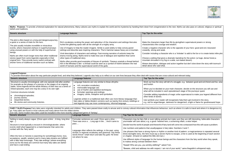

Myths Purpose: To provide a fictional explanation for natural phenomena. Many cultures use myths to explain the world and its mysteries by handing them down from onegeneration to the next. Myths can also pass on cultural, beliefs and traditions.

| Generic structure                                                                                                                                                                                                                                                                                                                                                                                                                                                                                                            | Language features                                                                                                                                                                                                                                                                                                                                                                                                                                                                                                                                                                                                                                                                                                                                                                                                                | Top Tips for the writer                                                                                                                                                                                                                                                                                                                             |
|------------------------------------------------------------------------------------------------------------------------------------------------------------------------------------------------------------------------------------------------------------------------------------------------------------------------------------------------------------------------------------------------------------------------------------------------------------------------------------------------------------------------------|----------------------------------------------------------------------------------------------------------------------------------------------------------------------------------------------------------------------------------------------------------------------------------------------------------------------------------------------------------------------------------------------------------------------------------------------------------------------------------------------------------------------------------------------------------------------------------------------------------------------------------------------------------------------------------------------------------------------------------------------------------------------------------------------------------------------------------|-----------------------------------------------------------------------------------------------------------------------------------------------------------------------------------------------------------------------------------------------------------------------------------------------------------------------------------------------------|
| The plot is often based on a long and dangerousjourney,<br>a quest or a series of trials for the hero.<br>The plot usually includes incredible or miraculous<br>events, where characters behave in superhumanways<br>using unusual powers or with the help of superhuman<br>beings.<br>Myths are often much longer texts than other traditional<br>stories (apart from some legends) especially in their<br>original form. They provide avery useful contrast with<br>shorter forms of traditional narrative such as fables. | Rich vocabulary evoking the power and splendour of the characters and settings: Hercules<br>hurled the glittering spear with all the strength of a mighty army.<br>Use of imagery to help the reader imagine. Simile is used widely to help convey grand<br>settings and describe awe-inspiring characters: Thor's hammer wasas heavy as a mountain.<br>Vivid description of characters and settings. Fast-moving narration of actionto keep the<br>drama moving along. Myths tend to make less use of dialogue and repetition than some<br>other types of traditional story.<br>Myths often provide good examples of theuse of symbols: Theseus unwinds a thread behind<br>him in the Minotaur's den -a thread could be seen as a symbol of hislink between the real<br>world of humans and the supernatural world of the gods. | Make the characters larger than life I<br>characteristics like courage and wisc<br>Create a negative character who is t<br>cowardly, strong and weak.<br>Consider including a character who i<br>Choose a setting that gives a drama<br>mountain shrouded in icy fog or a wi-<br>Weave description, dialogue and act<br>detail about who said what. |

FAIRY TALES Purpose: Fairy tales were originally intended for adults and children. They were passed down orally to amuse and to convey cultural information that influences behaviour, such as where it is safe to travel and go. Fairy tales are found in most cultures and many derive from the oldest stories

# **Legend Purpose:**

| To provide information about the way particular people lived, and what they believed. Legends also help us to reflect on our own lives because they often deal with issues that are cross-cultural and relevant today.       |                                                                                                                                                                                                                                |                                                                                                                      |  |  |  |  |
|------------------------------------------------------------------------------------------------------------------------------------------------------------------------------------------------------------------------------|--------------------------------------------------------------------------------------------------------------------------------------------------------------------------------------------------------------------------------|----------------------------------------------------------------------------------------------------------------------|--|--|--|--|
| <b>Generic structure</b>                                                                                                                                                                                                     | Language features                                                                                                                                                                                                              | Top Tips for the writer                                                                                              |  |  |  |  |
| Structure is usually chronological, with one episode told after another,<br>for example as the phases of a journey or the stages of an ongoing<br>battle. Some legends tell the whole lifestory of their hero as a series of | Language features are very similar to those ofmyths:<br>rich, evocative vocabulary;                                                                                                                                            | Work out how the story will tell of a struggle, e.g. betwe<br>and foolish.                                           |  |  |  |  |
| linked episodes; each one may be a story in its own right<br>Common structures include:                                                                                                                                      | memorable language use;<br>use of rhythm and repetition techniques;<br>formulaic openings and endings;                                                                                                                         | When you've decided on your main character, decide of<br>what will be included in each episode/each stage of the     |  |  |  |  |
| chronological episodes;<br>journey stories;                                                                                                                                                                                  | imagery: simile, metaphor and symbolism.                                                                                                                                                                                       | Consider adding ingredients of magic orthe supernatura<br>other kinds of stories.                                    |  |  |  |  |
| sequential stories;<br>life stories and community histories.                                                                                                                                                                 | Legends written in a traditional style often use more literary language than<br>fairy tales or fables. Modern versions such as twenty-first century retellings or<br>new legends may use more contemporary, informal language. | Use symbols your reader will recogniseto help them get<br>e.g. red for anger/danger, darkness for danger/evil, a lig |  |  |  |  |

ever told. Some modern fairy tales could be included in the more recently categorised genre of 'fantasy'.

| <b>Generic structure</b>                                                                                                                                                                                                                   | Language features                                                                                                                                                                                 | <b>Top Tips for the writer</b>                                                                                                                                               |
|--------------------------------------------------------------------------------------------------------------------------------------------------------------------------------------------------------------------------------------------|---------------------------------------------------------------------------------------------------------------------------------------------------------------------------------------------------|------------------------------------------------------------------------------------------------------------------------------------------------------------------------------|
| Setting is nearly always vague. (Once upon a time A long, long time<br>ago )                                                                                                                                                               | Formulaic sentences are used: Once upon a time<br>There was once a  Long ago in the  And it came to                                                                                               | Characters may be fairy folk or even talking animals but ma<br>yourreader will care about, e.g. a good- hearted hero, a sch                                                  |
| Structure is most typically a recount in chronological order, where                                                                                                                                                                        | pass                                                                                                                                                                                              | Decide how the world of people and theworld of fairy land wil                                                                                                                |
| events retell what happened to a maincharacter that came into<br>contact with the 'fairy world'.                                                                                                                                           |                                                                                                                                                                                                   | Use numbers and patterns that usually appear in fairy tales:                                                                                                                 |
| Often the hero or heroine is searching for something (a home, love,                                                                                                                                                                        | Language often reflects the settings, in the past, using<br>archaic or regional vocabulary and grammar: Say these<br>words thrice! I shall return and take thy gold. He knew<br>not where he was. | Use phrases that have a strong rhyme or rhythm or another<br>times duringthe story, the hero must say a secret rhyme to<br>or chapter. (Onand on walked the little old man.) |
| acceptance, wealth, wisdom) and in many tales dreams are fulfilled<br>with a little help frommagic. 'Fairy tale endings' (where everything<br>turns out for the best) are common but many fairy tales are darker<br>and have a sad ending. |                                                                                                                                                                                                   | Use different styles of language for the human beings and t<br>to makea strong contrast between them:                                                                        |
|                                                                                                                                                                                                                                            |                                                                                                                                                                                                   | "Eeeek! Who are you, you wrinkly oldthing?" asked Tom.                                                                                                                       |
|                                                                                                                                                                                                                                            |                                                                                                                                                                                                   | "Beware, child and address me with respect. I am not of yor                                                                                                                  |



- by givingthem supernatural powers or strong dom.
- the opposite of your hero: good and evil, braveand
- is a 'trickster' to add to the fun or to create twists inthe plot.
- atic backdrop for the action: (a huge, dense forest,a ide, sun-baked desert).
- tion together but don't slow down the story with toomuch

struggle, e.g. between good and evil, friend and foe, wise

- character, decide on the structure you will use and de/each stage of the journeyor quest.
- gic orthe supernatural to make your legend different from
- niseto help them get involved in the story, for danger/evil, a light or flame for goodnessand hope.
- 
- ake sure they are still interesting, believable characters eming villain, a wise helper.
- I come into contactand how this will cause a problem.
- Numbers 3 and 7.
- kind of pattern: a magicsentence is repeated several escape, a line is used at the beginning of each section
- the characters from the fairy world when they speak,

ur world," came thegoblin's whispered reply.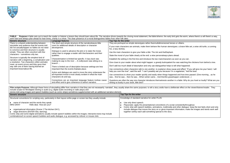

FABLE Purpose:A fable sets out to teach the reader or listener a lesson they should learn about life. The narrative drives towards the closing moral statement, the fable'stheme: the early bird gets the worm, where there's work hard and always plan ahead for lean times, charity is a virtue. The clear presence of a moral distinguishes fables from other folk tales.

Film scripts Purpose: Although these forms of storytelling differ from narrative in that they are not necessarily 'narrated', they usually share the same purposes: to tell a story andto have a deliberate effect on the view include scripts for film/digital viewing or audio (e.g. digital audio recording or radio plays) and

| <b>Generic structure</b>                                                                                                                                           | Language features                                                                                                                                                          | Top Tips for the writer                                                                                                                                 |
|--------------------------------------------------------------------------------------------------------------------------------------------------------------------|----------------------------------------------------------------------------------------------------------------------------------------------------------------------------|---------------------------------------------------------------------------------------------------------------------------------------------------------|
| There is a shared understanding between                                                                                                                            | The short and simple structure of the narrativeleaves little                                                                                                               | They are portrayed as simple stereotypes rather thanmultidimensional heroes or v                                                                        |
| storyteller and audience that the events told<br>did not actuallyhappen so fables do not need<br>to convince and their structure is usually                        | room for additional details of description or character<br>development.                                                                                                    | If your main characters are animals, make them behave like human stereotypes: a<br>fox, a lazy donkey.                                                  |
| simple. They are often veryshort with few<br>characters - sometimes only two.                                                                                      | Dialogue is used to advance the plot or to state the moral,<br>rather than to engage a reader with the characters and their                                                | Use the main characters to give your fable a title: The Ant and the Elephant.                                                                           |
|                                                                                                                                                                    | qualities.                                                                                                                                                                 | State the moral of your fable clearly at the end: a wise personalways plans ahead.                                                                      |
| Structure is typically the simplest kind of<br>narrative with a beginning, a complication and                                                                      | Characterisation is limited but specific: A lazy duck was                                                                                                                  | Establish the setting in the first line and introduce the two maincharacters as soon                                                                    |
| a resolution. Two characters (often animals)<br>meet, an event occurs and they goon their<br>way with one of them having learned an<br>important lessonabout life. | making its way to the river  A craftyraven was sitting on a<br>branch                                                                                                      | Give clues to your reader about what might happen: a greedy butimpatient fox was                                                                        |
|                                                                                                                                                                    | There is limited use of description because settings are less<br>important than the events thattake place.<br>Action and dialogue are used to move the story onbecause the | Don't add too much detail of description and only use dialoguethat helps to tell wh                                                                     |
|                                                                                                                                                                    |                                                                                                                                                                            | Use connectives when characters talk to one another, to explainor show cause an                                                                         |
|                                                                                                                                                                    |                                                                                                                                                                            | help you over the river", said the wolf. "I can't possibly eat you because I'm a vege                                                                   |
|                                                                                                                                                                    | all-important moral is most clearly evident in what the main<br>characters do and say.                                                                                     | Use connectives to show your reader quickly and easily when things happened an<br>was first he saw then he saw When winter came And thenthe grasshopper |
|                                                                                                                                                                    | Connectives are an important language feature toshow cause<br>and effect and to give coherence to ashort narrative.                                                        | Questions are often the way one character introduces themselvesto another in a fa<br>writing so busily in your book, little bird?                       |

|  | stories told using images and speech bubbles (such as comic strips) sometimes supplemented with an additional narrative element. |  |
|--|----------------------------------------------------------------------------------------------------------------------------------|--|
|  |                                                                                                                                  |  |

| <b>Generic structure</b>                                                                                                                                                                                                                                                                                                              | Top Tips for the writer                                                                                                                              |
|---------------------------------------------------------------------------------------------------------------------------------------------------------------------------------------------------------------------------------------------------------------------------------------------------------------------------------------|------------------------------------------------------------------------------------------------------------------------------------------------------|
| Structural conventions for scripting vary, particularly in their layout onthe page or screen but they usually include:                                                                                                                                                                                                                | Knowledge of standard narrative for writer PLUS:                                                                                                     |
| name of character and the words they speak:<br>Hello dear. How are you?<br><b>MRS GRAY</b>                                                                                                                                                                                                                                            | Use only direct speech.<br>Playscripts: apply the presentational conventions of a scrip<br>Comic strip with speech bubbles, animations, multimedia a |
| organisational information (Scene 2 The kitchen DAY);<br>stage directions (ENTER Sita, dancing).<br>Comic strip and some digital animations usually include speech bubbles within the images; interactive texts may include<br>combinations of on-screen speech bubbles and audio dialogue, e.g. accessed by rollover or mouse click. | include dialogue that moves the story on or gives importan<br>together sothey each add something special to the story.                               |



bes or villains.

types: a brave little ant, a wise old turtle, a cunning

- is soon as you can.
- fox was watching the chickens from behind a tree.
- b tell what happened.
- ause and effect: "If you will give me your hand, I will na vegetarian," lied the bear.
- ened and how time passed: (One morning... as he hopper understood...)
- er in a fable: Why do you howl so loudly? What are you

ot consistently throughout.

and other dialogue: keep the text fairly short and only nt information; make the images and words work well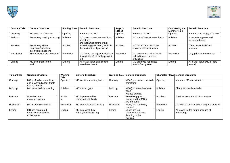

| <b>Journey Tale:</b> | <b>Generic Structure:</b>                                  | Finding Tale: | <b>Generic Structure:</b>                                                      | <b>Rags to</b><br><b>Riches</b> | <b>Generic Structure:</b>                                             | <b>Conquering the</b><br><b>Monster Tale:</b> | <b>Generic Structure:</b>                |
|----------------------|------------------------------------------------------------|---------------|--------------------------------------------------------------------------------|---------------------------------|-----------------------------------------------------------------------|-----------------------------------------------|------------------------------------------|
| Opening              | MC goes on a journey                                       | Opening       | Introduce the MC                                                               | Opening                         | Introduce the MC                                                      | Opening                                       | Introduce the MC(s) all is well          |
| Build up             | Something small goes wrong                                 | Build up      | MC goes somewhere and finds<br>something<br>unusual/amazing/important          | Build up                        | MC is sad/lonely/treated badly                                        | Build up                                      | A monster appears and<br>causesproblems  |
| Problem              | Something worse<br>happens Something<br>even worse happens | Problem       | Something goes wrong and it is<br>the fault of the object found                | Problem                         | MC has to face difficulties<br>because of their situation             | Problem                                       | The monster is difficult<br>to defeat    |
| Resolution           | The obstacles are overcome                                 | Resolution    | MC has to put object back/throw<br>itaway/hide it/call for help/sort it<br>out | Resolution                      | MC overcomes difficulties/Is<br>helped toovercome the<br>difficulties | Resolution                                    | MC(s) defeat the monster                 |
| Ending               | MC gets there in the<br>end                                | Ending        | All is well again and lessons<br>have been learnt.                             | Ending                          | MC achieves happiness<br>/wealth/recognition                          | Ending                                        | All is well again (MC(s) gets<br>reward) |

| <b>Tale of Fear</b> | <b>Generic Structure:</b>                                                    | Wishing<br>Tale: | <b>Generic Structure:</b>                    |            | <b>Warning Tale: Generic Structure:</b>                                  | <b>Character Flaw:</b> | <b>Generic Structure:</b>                           |
|---------------------|------------------------------------------------------------------------------|------------------|----------------------------------------------|------------|--------------------------------------------------------------------------|------------------------|-----------------------------------------------------|
| Opening             | MC is afraid of something<br>and is worried about it/gets<br>teased about it | Opening          | MC wants something badly                     | Opening    | $MC(s)$ are warned not to do<br>something                                | Opening                | Introduce MC and situation                          |
| Build up            | MC starts to do something                                                    | Build up         | MC tries to get it                           | Build up   | MC(s) do what they have<br>been<br>warned against                        | Build up               | Character flaw is revealed                          |
| Problem             | What MC fears<br>actually happens                                            | Proble<br>m      | MC is prevented by<br>some sort ofdifficulty | Problem    | Something goes<br>wrong and the MC(s)<br>are in trouble                  | Problem                | The flaw leads the MC into trouble                  |
| Resolution          | MC overcomes the fear                                                        | Resolution       | MC overcomes the difficulty                  | Resolution | MC(s) are eventually<br>rescued                                          | Resolution             | MC learns a lesson and changes theirways            |
| Ending              | MC has conquered<br>the fear/reflects/looks<br>to the future                 | Ending           | MC gets what they<br>want. (Was itworth it?) | Ending     | $MC(s)$ are told<br>off/punished for not<br>listening to the<br>warning. | Ending                 | All is well for the future because of<br>the change |

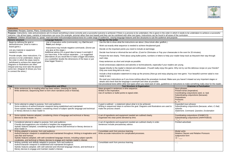

# **Instructions**

**Outcomes:** Recipes, Games, Plans, Constructions, Routines

Purpose: Instructions, rules and procedures aim to ensure something is done correctly and a successful outcome is achieved. If there is a process to be undertaken, this is given in the order in which it needs to be underta outcome. Like all text types, variants of instructions can occur (for example, pictorial rather than text based) and they can be combined with other text types. Instructions can be found in all areas of the curriculum.

|                                                                                                                                                                                                                                                                                                                                                                                            |                                                                                                                                                                                                                                                      |                                                                                                                                                                                                                                                  | Audience: Children should listen to, speak, read and write instructional/procedural texts for a wide range of audiences, varying language features and text structures to suit the audience and purpose.                                                                |                                             |
|--------------------------------------------------------------------------------------------------------------------------------------------------------------------------------------------------------------------------------------------------------------------------------------------------------------------------------------------------------------------------------------------|------------------------------------------------------------------------------------------------------------------------------------------------------------------------------------------------------------------------------------------------------|--------------------------------------------------------------------------------------------------------------------------------------------------------------------------------------------------------------------------------------------------|-------------------------------------------------------------------------------------------------------------------------------------------------------------------------------------------------------------------------------------------------------------------------|---------------------------------------------|
|                                                                                                                                                                                                                                                                                                                                                                                            | <b>Generic structure</b>                                                                                                                                                                                                                             | Language features                                                                                                                                                                                                                                | Top tips for the writer                                                                                                                                                                                                                                                 |                                             |
| Begin by defining the goal or<br>desiredoutcome. (How to make a                                                                                                                                                                                                                                                                                                                            |                                                                                                                                                                                                                                                      | Use of imperative verbs (commands), e.g. Cut thecard<br>Paint your design                                                                                                                                                                        | Use the title to show what the instructions are about. (How tolook after goldfish.)                                                                                                                                                                                     |                                             |
|                                                                                                                                                                                                                                                                                                                                                                                            | board game.)                                                                                                                                                                                                                                         |                                                                                                                                                                                                                                                  | Work out exactly what sequence is needed to achieve the planned goal.                                                                                                                                                                                                   |                                             |
|                                                                                                                                                                                                                                                                                                                                                                                            | List any material or equipment                                                                                                                                                                                                                       | Instructions may include negative commands. (Donot use<br>any glue at this stage.)                                                                                                                                                               | Decide on the important points you need to include at eachstage.                                                                                                                                                                                                        |                                             |
|                                                                                                                                                                                                                                                                                                                                                                                            | needed, in order.                                                                                                                                                                                                                                    | Additional advice (It's a good idea to leave it overnight if                                                                                                                                                                                     | Decide how formal or informal the text will be. (Cook for 20minutes or Pop your cheesecake                                                                                                                                                                              |                                             |
|                                                                                                                                                                                                                                                                                                                                                                                            | Provide simple, clear instructions. If a<br>process is to be undertaken, keep to                                                                                                                                                                     | you have time. If the mixture separates ) or suggested<br>alternatives (If you would like to make a bigger decoration,<br>you couldeither double the dimensions of the base or just                                                              | Present the text clearly. Think about using bullet points, numbers or letters to help your read<br>each step.                                                                                                                                                           |                                             |
|                                                                                                                                                                                                                                                                                                                                                                                            | the order in which the steps need to<br>befollowed to achieve the stated goal.                                                                                                                                                                       | draw bigger flowers.).                                                                                                                                                                                                                           | Keep sentences as short and simple as possible.                                                                                                                                                                                                                         |                                             |
|                                                                                                                                                                                                                                                                                                                                                                                            | Diagrams or illustrations are often                                                                                                                                                                                                                  |                                                                                                                                                                                                                                                  | Avoid unnecessary adjectives and adverbs or technicalwords, especially if your readers are                                                                                                                                                                              |                                             |
|                                                                                                                                                                                                                                                                                                                                                                                            | integral and may even take the placeof<br>some text. (Diagram B shows you how<br>to connect the wires.)                                                                                                                                              |                                                                                                                                                                                                                                                  | Appeal directly to the reader's interest and enthusiasm. (Youwill really enjoy this game. Why<br>Only one more thing left to do now.)                                                                                                                                   |                                             |
|                                                                                                                                                                                                                                                                                                                                                                                            |                                                                                                                                                                                                                                                      |                                                                                                                                                                                                                                                  | Include a final evaluative statement to wrap up the process. (Now go and enjoy playing your<br>ready to eat.)                                                                                                                                                           |                                             |
|                                                                                                                                                                                                                                                                                                                                                                                            |                                                                                                                                                                                                                                                      |                                                                                                                                                                                                                                                  | Re-read your instructions as if you know nothing about the procedure involved. Make sure y<br>details and check that the language is assimple and clear as possible.<br>Use procedural texts within other text types when you need aset of rules, guidelines or instrud |                                             |
| Year                                                                                                                                                                                                                                                                                                                                                                                       |                                                                                                                                                                                                                                                      | <b>Composition and Effect</b>                                                                                                                                                                                                                    | <b>Text Structure &amp; Organisation</b>                                                                                                                                                                                                                                |                                             |
| $\overline{1}$                                                                                                                                                                                                                                                                                                                                                                             |                                                                                                                                                                                                                                                      | Write sentences by re-reading what has been written, checking for clarity.<br>Write sentences, sequencing them to form short narratives (real or fictional).                                                                                     | Ideas grouped in sentences in time sequence.<br>Written in the imperative.<br>Use of numbers or bullet points to signal order.                                                                                                                                          | <b>No</b><br>Pre<br>Co<br>Sul<br>Pre<br>Prc |
|                                                                                                                                                                                                                                                                                                                                                                                            |                                                                                                                                                                                                                                                      |                                                                                                                                                                                                                                                  |                                                                                                                                                                                                                                                                         | A .                                         |
| $\overline{2}$                                                                                                                                                                                                                                                                                                                                                                             | Some attempt to adapt to purpose, form and audience.<br>or literary devices to draw reader in.                                                                                                                                                       | Some evidence of author/character viewpoint being established and maintained.<br>Some stylistic features adopted, considering choice of subject specific language and technical                                                                  | A goal is outlined $-$ a statement about what is to be achieved.<br>Writing is sequenced steps to achieve the goal. Diagrams and illustrations are used to<br>make the process clearer.                                                                                 | Exp<br>Sul<br>Ad<br>Sta                     |
| $\mathbf{3}$                                                                                                                                                                                                                                                                                                                                                                               | devices to draw reader in.                                                                                                                                                                                                                           | Some stylistic features adopted, considering choice of language and technical or literary                                                                                                                                                        | A set of ingredients and equipment needed are outlined clearly.<br>Organised into clear points denoted by time.                                                                                                                                                         | Co<br>Sul                                   |
| 4                                                                                                                                                                                                                                                                                                                                                                                          | Considered attempt to adapt to purpose, form and audience.<br>Friendly tips/suggestions are included to heighten the engagement.<br>Stylistic features adopted, considering language choices and technical or literary devices to<br>draw reader in. |                                                                                                                                                                                                                                                  | A set of ingredients and equipment needed are outlined clearly in order.<br>Sentences include precautionary advice.                                                                                                                                                     | Frc                                         |
| $5\phantom{.0}$<br>Writing adapted to purpose, form and audience.<br>Author/character viewpoint is established and maintained throughout. Writing is imaginative and<br>uses flair and humour.<br>Stylistic features adopted, with well-considered language choices, including subject specific<br>vocabulary, and technical or literary devices to engage and maintain reader's interest. |                                                                                                                                                                                                                                                      |                                                                                                                                                                                                                                                  | Consolidate work from previous learning.<br>Write accurate instructions for complicated processes.                                                                                                                                                                      | Mo<br>Re.<br>Su<br>()                       |
| 6                                                                                                                                                                                                                                                                                                                                                                                          | literary devices to engage and maintain reader's interest.                                                                                                                                                                                           | Writing carefully and skilfully adapted to purpose, form and audience.<br>Author/character viewpoint is established and maintained throughout.<br>Stylistic features adopted, with well-selected and informed language choices, and technical or | Consolidate work from previous learning.                                                                                                                                                                                                                                | $-1,$                                       |



ecake in the oven for 20 minutes). reader keep track as theywork their way through s are young. Why not try out this delicious recipe on your friends? your new game. Your beautiful summer salad is now sure you haven't missed out any important stages or nstructions to make something really clear for the reader. **Grammar & Punctuation** Noun phrases Present tense (imperative) Coordinating conjunctions (and, or, but) Subordinating conjunctions (because) **Prepositions Pronouns** A . ? ! *Expanded noun phrases* Subordinating conjunctions (because, *when, if, that*) *Adverbs Statement, Command, Question, Exclamation* , ' Coordinating conjunctions (*FANBOYS*) Subordinating conjunctions (*AWHITEBUS*)  $\sqrt{u}$  " *Fronted adverbials Modal verbs Relative Clauses and Relative Pronouns Subjunctive form*  $() - , \_\_$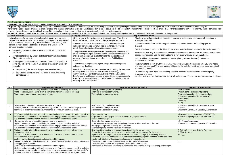

# **Non-Chronological Reports**

**Outcomes:** Fact Files, Top Trumps, Leaflets, Brochures, Information Texts, Guidebooks

Purpose: Report texts describe the way things are. They help readers understand and envisage the item/s being described by categorising information. They usually have a logical structure rather than a temporal structure i. nonchronological. Reports are used to create precise and detailed information 'pictures'. Most reports aim to be objective but the selection of information included in a report can create bias. Variants in reports can occu other text types. Reports are found in all areas of the curriculum but are found particularly in subjects such as science and geography.

| Audience: Children should listen to, speak, read and write instructional/procedural texts for a wide range of audiences, varying language features and text structures to suit the audience and purpose. |                                                                                                                                                                                                                                                                                                           |                                                                                                                                        |  |  |  |
|----------------------------------------------------------------------------------------------------------------------------------------------------------------------------------------------------------|-----------------------------------------------------------------------------------------------------------------------------------------------------------------------------------------------------------------------------------------------------------------------------------------------------------|----------------------------------------------------------------------------------------------------------------------------------------|--|--|--|
| <b>Generic structure</b>                                                                                                                                                                                 | Language features                                                                                                                                                                                                                                                                                         | <b>Top Tips for the writer</b>                                                                                                         |  |  |  |
| In the absence of a temporal (chronological) structure where events<br>happen in a particular order, non-chronological reports usually have a                                                            | Often written in the third person and presenttense. (They like to<br>build their nests  It is a cold and dangerous place to live.)                                                                                                                                                                        | Plan how you will organise the information you wa<br>spidergram or agrid.                                                              |  |  |  |
| logical structure. They tend to group information, often moving from<br>general to more specific detail and examples or elaborations. A<br>common structure includes:                                    | Sometimes written in the past tense, as in a historical report.<br>(Children as young as seven worked in factories. They were                                                                                                                                                                             | Gather information from a wide range of sources a<br>planned.                                                                          |  |  |  |
| an opening statement, often a generalclassification (Sparrows                                                                                                                                            | poorly fed and clothed and they did dangerous work.)                                                                                                                                                                                                                                                      | Consider using a question in the title to interest you                                                                                 |  |  |  |
| are birds);                                                                                                                                                                                              | The passive voice is frequently used to avoid personalisation, to<br>avoid naming the agent of averb, to add variety to sentences or to                                                                                                                                                                   | Try to find a new way to approach the subject and                                                                                      |  |  |  |
| sometimes followed by a more detailedor technical classification                                                                                                                                         | maintainan appropriate level of formality for the contextand                                                                                                                                                                                                                                              | capture their interest. Use the opening to make ve                                                                                     |  |  |  |
| (Their Latin name is);<br>a description of whatever is the subjectof the report organised in                                                                                                             | purpose of writing. (Sparrows are found in Gold is highly<br>valued)                                                                                                                                                                                                                                      | Include tables, diagrams or images (e.g. importedp<br>summarise information.                                                           |  |  |  |
| some way tohelp the reader make sense of the information. For<br>example:                                                                                                                                | Tends to focus on generic subjects (Dogs)rather than specific<br>subjects (My dog Ben).                                                                                                                                                                                                                   | Find ways of making links with your reader. You co<br>of a hammerhead shark?) or add a personal touch                                  |  |  |  |
| its qualities (Like most birds, sparrows have feathers.);                                                                                                                                                | Description is usually an important feature, including the language                                                                                                                                                                                                                                       | about getting a dog).                                                                                                                  |  |  |  |
| its parts and their functions (The beak is small and strong<br>so that it can )                                                                                                                          | of comparison and contrast. (Polar bears are the biggest<br>carnivoresof all. They hibernate, just like other bears. A polar<br>bear's nose is as black as a piece of coal.) Description is generally<br>used for precision ratherthan to create an emotional response so<br>imagery is not heavily used. | Re-read the report as if you know nothing about its<br>organised and clear.<br>Use other text-types within your report if they will ma |  |  |  |

| Year | <b>Composition and Effect</b>                                                             | <b>Text Structure &amp; Organisation</b>                                                         | <b>Grammar &amp; Punctuation</b>              |
|------|-------------------------------------------------------------------------------------------|--------------------------------------------------------------------------------------------------|-----------------------------------------------|
|      | Write sentences by re-reading what has been written, checking for clarity.                | Ideas grouped together for similarity.                                                           | Noun phrases                                  |
|      | Write sentences, sequencing them to form short narratives (real or fictional).            | Attempts at third person writing.                                                                | Present simple tense (third person)           |
|      | Word choice shows some awareness of topic.                                                | Written in the appropriate tense.                                                                | Coordinating conjunctions (and, or, but)      |
|      |                                                                                           |                                                                                                  | Subordinating conjunctions (because)          |
|      |                                                                                           |                                                                                                  | Prepositions                                  |
|      |                                                                                           |                                                                                                  | Pronouns                                      |
|      |                                                                                           |                                                                                                  | A. ?!                                         |
|      | Some attempt to adapt to purpose, form and audience.                                      | Brief introduction and conclusion.                                                               | Subordinating conjunctions (when, if, that)   |
|      | Some stylistic features adopted, considering choice of subject specific language and      | Written in the appropriate tense.                                                                | Adverbs                                       |
|      | technical or literary devices to draw reader in, e.g. through additional detail.          | Main ideas organised in groups.                                                                  | Statement, Command, Question, Exclamation     |
|      |                                                                                           |                                                                                                  |                                               |
|      | Y2+Some stylistic features adopted, considering language choices, including technical     | Clear introduction.                                                                              | Y2+Coordinating conjunctions (FANBOYS)        |
|      | vocabulary, and technical or literary devices to engage and maintain reader's interest,   | Organised into paragraphs shaped around a key topic sentence.                                    | Subordinating conjunctions (AWHITEBUS)        |
|      | e.g. consideration of formality, additional description and additional detail.            | Use of subheadings.                                                                              |                                               |
|      | Considered attempt to adapt to purpose, form and audience.                                | Clear introduction and conclusion.                                                               | Y3+ Fronted adverbials                        |
|      | Stylistic features adopted, considering language choices, including technical             | Links between sentences help to navigate the reader from one idea to the next.                   | Statement, Command, Question, Exclamation     |
|      | vocabulary, and technical or literary devices to engage and maintain reader's interest,   | Paragraphs organised correctly into key ideas.                                                   |                                               |
|      | e.g. consideration of formality, additional description and additional detail.            | Subheadings are used to organise information.                                                    |                                               |
|      | Writing carefully adapted to purpose, form and audience, selecting relevant and           | Developed introduction and conclusion using all the layout features.                             | <b>Relative Clauses and Relative Pronouns</b> |
|      | appropriate content.                                                                      | Generalised sentences are used to categorise and sort information for the reader.                | Subjunctive form                              |
|      | Description of the phenomenon is technical and accurate, informs the reader and           | Stylistic features adopted, with well-selected and informed language, including technical        | $() - , \underline{\qquad}$                   |
|      | describes the way things are.                                                             | vocabulary, choices, and technical or literary devices to engage and maintain reader's interest, |                                               |
|      | Author viewpoint is established and maintained throughout.                                | e.g. formal, additional description and additional relevant detail.                              |                                               |
|      | Writing carefully and skilfully adapted to purpose, form and audience, selecting relevant | The report is well constructed and answers the reader's questions.                               | $-1;$                                         |
|      | and appropriate content.                                                                  | The writer understands the impact and thinks about the response.                                 |                                               |
|      | Author viewpoint is established and maintained throughout.                                | Information is prioritised according to importance and a frame of response set up or the reply.  |                                               |
|      | Stylistic features adopted, with well-selected and informed language, including technical |                                                                                                  |                                               |
|      | vocabulary, choices, and technical or literary devices to engage and maintain reader's    |                                                                                                  |                                               |
|      | interest, e.g. formal, additional description and additional relevant detail, comments.   |                                                                                                  |                                               |



bu want to include, e.g. use paragraph headings, a.

- rces and collect it under the headings you've
- est your reader (Vitamins why are they so important?).
- t and composean opening that will attract the reader or ke very clear what you are writing about.
- ortedphotographs or drawings) that add or
- Fou could aska direct question (Have you ever heard touch to the text (So next time you choose a pet, think
- out its subject. Check that information is logically
- will make itmore effective for your purpose and audience.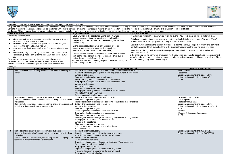

|                                                                                                                                                                                                                                                                                                                                                                                                                                                                                                                                                                                                                                                  | Outcomes: Diary, Letter, Newspaper, Autobiography, Biography, Eye- witness Account<br>Purpose: The primary purpose of recounts is to retell events. They are the basic form of many story telling texts, and in non-fiction texts they are used to create factual accounts of events. Recounts can entertain and/or |                                                                                                                                                                                                                                                                                                                                                                                                                                                                                                                                                                                                                                                                                                              |                                                                                                                                                                                                                                                                                                                                                                                                                                                                                                                                                                                                                                                                                                                                                                                                                                                                                         |                                                                                                                                                                                                                                  |
|--------------------------------------------------------------------------------------------------------------------------------------------------------------------------------------------------------------------------------------------------------------------------------------------------------------------------------------------------------------------------------------------------------------------------------------------------------------------------------------------------------------------------------------------------------------------------------------------------------------------------------------------------|---------------------------------------------------------------------------------------------------------------------------------------------------------------------------------------------------------------------------------------------------------------------------------------------------------------------|--------------------------------------------------------------------------------------------------------------------------------------------------------------------------------------------------------------------------------------------------------------------------------------------------------------------------------------------------------------------------------------------------------------------------------------------------------------------------------------------------------------------------------------------------------------------------------------------------------------------------------------------------------------------------------------------------------------|-----------------------------------------------------------------------------------------------------------------------------------------------------------------------------------------------------------------------------------------------------------------------------------------------------------------------------------------------------------------------------------------------------------------------------------------------------------------------------------------------------------------------------------------------------------------------------------------------------------------------------------------------------------------------------------------------------------------------------------------------------------------------------------------------------------------------------------------------------------------------------------------|----------------------------------------------------------------------------------------------------------------------------------------------------------------------------------------------------------------------------------|
|                                                                                                                                                                                                                                                                                                                                                                                                                                                                                                                                                                                                                                                  | variants of recounts can occur and they can be combined with other text types. For example, newspaper 'reports' on an event often consist of a recount of the event plus elements of explanation or other text types.                                                                                               |                                                                                                                                                                                                                                                                                                                                                                                                                                                                                                                                                                                                                                                                                                              |                                                                                                                                                                                                                                                                                                                                                                                                                                                                                                                                                                                                                                                                                                                                                                                                                                                                                         |                                                                                                                                                                                                                                  |
|                                                                                                                                                                                                                                                                                                                                                                                                                                                                                                                                                                                                                                                  | Audience: Children should listen to, speak, read and write recount texts for a wide range of audiences, varying language features and text structures to suit the audience and purpose.                                                                                                                             |                                                                                                                                                                                                                                                                                                                                                                                                                                                                                                                                                                                                                                                                                                              |                                                                                                                                                                                                                                                                                                                                                                                                                                                                                                                                                                                                                                                                                                                                                                                                                                                                                         |                                                                                                                                                                                                                                  |
|                                                                                                                                                                                                                                                                                                                                                                                                                                                                                                                                                                                                                                                  |                                                                                                                                                                                                                                                                                                                     | <b>Language Features</b>                                                                                                                                                                                                                                                                                                                                                                                                                                                                                                                                                                                                                                                                                     | Top Tips for Writers                                                                                                                                                                                                                                                                                                                                                                                                                                                                                                                                                                                                                                                                                                                                                                                                                                                                    |                                                                                                                                                                                                                                  |
| <b>Generic Structure</b><br>Structure often includes:<br>orientation such as scene-setting or establishingcontext (It was<br>the school holidays. I went to the park );<br>an account of the events that took place, often in chronological<br>order (The first person to arrive was );<br>some additional detail about each event (He wassurprised to see<br>$me.$ ;<br>reorientation, e.g. a closing statement that may include<br>elaboration. (I hope I can go to the parkagain next week. It was<br>fun.)<br>Structure sometimes reorganises the chronology of events using<br>techniques such as flashbacks, movingthe focus backwards and |                                                                                                                                                                                                                                                                                                                     | Usually written in the past tense. Some forms may use<br>present tense, e.g. informal anecdotal storytelling (Just<br>imagine - I'm in the park and I suddenlysee a giant bat flying<br>towards me!).<br>Events being recounted have a chronological order so<br>temporal connectives are common (then, next, first,<br>afterwards, just before that, at last, meanwhile).<br>The subject of a recount tends to focus on individual or group<br>participants (third person: they all shouted, she crept out, it<br>looked like an animal of some kind).<br>Personal recounts are common (first person: I was on my way to<br>school  Wegot on the bus).                                                      | Plan how you will organise the way you retell the events. You could use a timeline to help you plar<br>Details are important to create a recount rather than a simple list of events in order. Try using Who<br>Where?Who? What? Why? questions to help you plan what to include.<br>Decide how you will finish the recount. You'll need a definite ending, perhaps a summary or a con<br>onwhat happened (I think our school trip to the Science Museum was the best we have ever had).<br>Read the text through as if you don't know anything about what it is being recounted. Is it clear what<br>happened and when?<br>Is the style right for the genre you are using? (Technical/formal language to recount a science expe<br>powerful verbs and vivid description to recount an adventure, informal, personal language to tell yo<br>about something funny that happenedto you.) |                                                                                                                                                                                                                                  |
|                                                                                                                                                                                                                                                                                                                                                                                                                                                                                                                                                                                                                                                  | forwards in time, but thesestrategies are more often used in fiction                                                                                                                                                                                                                                                |                                                                                                                                                                                                                                                                                                                                                                                                                                                                                                                                                                                                                                                                                                              |                                                                                                                                                                                                                                                                                                                                                                                                                                                                                                                                                                                                                                                                                                                                                                                                                                                                                         |                                                                                                                                                                                                                                  |
| recounts.                                                                                                                                                                                                                                                                                                                                                                                                                                                                                                                                                                                                                                        |                                                                                                                                                                                                                                                                                                                     |                                                                                                                                                                                                                                                                                                                                                                                                                                                                                                                                                                                                                                                                                                              |                                                                                                                                                                                                                                                                                                                                                                                                                                                                                                                                                                                                                                                                                                                                                                                                                                                                                         |                                                                                                                                                                                                                                  |
| Year                                                                                                                                                                                                                                                                                                                                                                                                                                                                                                                                                                                                                                             | <b>Composition and Effect</b>                                                                                                                                                                                                                                                                                       | <b>Text Structure &amp; Organisation</b>                                                                                                                                                                                                                                                                                                                                                                                                                                                                                                                                                                                                                                                                     |                                                                                                                                                                                                                                                                                                                                                                                                                                                                                                                                                                                                                                                                                                                                                                                                                                                                                         | <b>Grammar &amp; Punctuation</b>                                                                                                                                                                                                 |
| $\overline{1}$                                                                                                                                                                                                                                                                                                                                                                                                                                                                                                                                                                                                                                   | Write sentences by re-reading what has been written, checking for<br>clarity.                                                                                                                                                                                                                                       | Written in sentences, sequencing them to form short narratives (real or fictional).<br>Recount: Ideas grouped together in time sequence. Written in first person.<br>Written in past tense.<br>Focused on individual or group participants.<br>Letter: Ideas grouped in sentences in time sequence.<br>Biography: Ideas grouped in sentences in time sequence.<br>Written in first person.<br>Written in past tense.<br>Focused on individual or group participants.<br>Newspaper: Ideas grouped in sentences in time sequence.<br>Attempts at third person writing.<br>Beginning describes what happened.                                                                                                   |                                                                                                                                                                                                                                                                                                                                                                                                                                                                                                                                                                                                                                                                                                                                                                                                                                                                                         | Noun phrases<br>Past tense<br>Coordinating conjunctions (and, or, but)<br>Subordinating conjunctions (because)<br>A. ?!                                                                                                          |
| $\overline{2}$                                                                                                                                                                                                                                                                                                                                                                                                                                                                                                                                                                                                                                   | Some attempt to adapt to purpose, form and audience.<br>Some evidence of author/character viewpoint being established and<br>maintained.<br>Some stylistic features adopted, considering choice of language and<br>technical or literary devices to draw reader in.                                                 | Y1+ Recount: Brief introduction and conclusion.<br>Main ideas organised in groups.<br>Ideas organised in chronological order using conjunctions that signal time.<br>Letter: Brief introduction and conclusion.<br>Written in the past tense.<br>Main ideas organised in groups.<br>Using sequencing techniques - time related words.<br>Biography: Brief introduction and conclusion<br>Main ideas organised into groups.<br>Ideas organised in chronological order using conjunctions that signal time.<br>Newspaper: Brief introduction and conclusion.<br>Written in the past tense.<br>Main ideas organised into groups.<br>Using sequencing techniques - time related words.<br>A photo with a caption |                                                                                                                                                                                                                                                                                                                                                                                                                                                                                                                                                                                                                                                                                                                                                                                                                                                                                         | Expanded noun phrases<br>Past simple tense<br>Past progressive tense<br>Coordinating conjunctions (and, or, but)<br>Subordinating conjunctions (because, whe<br>that)<br>Adverbs<br>Statement, Question, Exclamation<br>A. ? ! , |
|                                                                                                                                                                                                                                                                                                                                                                                                                                                                                                                                                                                                                                                  | Some attempt to adapt to purpose, form and audience.<br>Some evidence of author/character viewpoint being established and<br>maintained.<br>Some stylistic features adopted, considering choice of language and<br>technical or literary devices to draw reader in.                                                 | <b>Recount:</b> Clear introduction.<br>Organised into paragraphs shaped around key events.<br>A closing statement to summarise the overall impact.<br>Letter: Clear introduction.<br>Points about the visit/issue.<br>Organised into paragraphs denoted by time/place. Topic sentences.<br>Some letter layout features included.<br>Biography: Clear introduction.<br>Organised into paragraphs shaped around key events.<br>A closing statement to summarise the overall impact.<br>Newspaper: Clear introduction.                                                                                                                                                                                          |                                                                                                                                                                                                                                                                                                                                                                                                                                                                                                                                                                                                                                                                                                                                                                                                                                                                                         | Coordinating conjunctions (FANBOYS)<br>Subordinating conjunctions (AWHITEBUS)<br>$\hspace{0.05cm}$                                                                                                                               |



unts can entertain and/or inform. Like all text types,<br>or other text types.

- an a simple list of events in order. Try using When? plan what to include.
- Decide how you will finish the recount. You'll need a definite ending, perhaps a summary or a comment
	- ngabout what it is being recounted. Is it clear what
	- nnical/formal language to recount a science experiment, adventure, informal, personal language to tell your friends

| <b>Grammar &amp; Punctuation</b>                                                                                                                                                                                                             |
|----------------------------------------------------------------------------------------------------------------------------------------------------------------------------------------------------------------------------------------------|
| Noun phrases<br>Past tense<br>Coordinating conjunctions (and, or, but)<br>Subordinating conjunctions (because)<br>A. ?!                                                                                                                      |
| Expanded noun phrases<br>Past simple tense<br>Past progressive tense<br>Coordinating conjunctions (and, or, but)<br>Subordinating conjunctions (because, when, if,<br>that)<br><b>Adverbs</b><br>Statement, Question, Exclamation<br>A. ?'.' |
| Coordinating conjunctions (FANBOYS)<br>Subordinating conjunctions (AWHITEBUS)                                                                                                                                                                |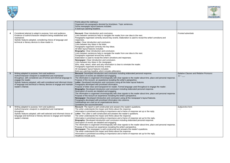

|                 |                                                                                                                                                                                                                                                                                                                                                                              | Points about the visit/issue.<br>Organised into paragraphs denoted by time/place. Topic sentences.<br>Some newspaper layout features included.<br>A bold eye-catching headline.                                                                                                                                                                                                                                                                                                                                                                                                                                                                                                                                                                                                                                                                                                                                                                                                                                                                                                                                                                                                                                              |
|-----------------|------------------------------------------------------------------------------------------------------------------------------------------------------------------------------------------------------------------------------------------------------------------------------------------------------------------------------------------------------------------------------|------------------------------------------------------------------------------------------------------------------------------------------------------------------------------------------------------------------------------------------------------------------------------------------------------------------------------------------------------------------------------------------------------------------------------------------------------------------------------------------------------------------------------------------------------------------------------------------------------------------------------------------------------------------------------------------------------------------------------------------------------------------------------------------------------------------------------------------------------------------------------------------------------------------------------------------------------------------------------------------------------------------------------------------------------------------------------------------------------------------------------------------------------------------------------------------------------------------------------|
| 4               | Considered attempt to adapt to purpose, form and audience.<br>Evidence of author/character viewpoint being established and                                                                                                                                                                                                                                                   | <b>Recount:</b> Clear introduction and conclusion.<br>Links between sentences help to navigate the reader from one idea to the next.                                                                                                                                                                                                                                                                                                                                                                                                                                                                                                                                                                                                                                                                                                                                                                                                                                                                                                                                                                                                                                                                                         |
|                 | maintained.<br>Stylistic features adopted, considering choice of language and<br>technical or literary devices to draw reader in.                                                                                                                                                                                                                                            | Paragraphs organised correctly around key events. Elaboration is used to reveal the writer's emotions and<br>responses.<br>Letter: Clear introduction and conclusion.                                                                                                                                                                                                                                                                                                                                                                                                                                                                                                                                                                                                                                                                                                                                                                                                                                                                                                                                                                                                                                                        |
|                 |                                                                                                                                                                                                                                                                                                                                                                              | Links between key ideas in the letter.<br>Paragraphs organised correctly into key ideas.<br>All letter layout features included.                                                                                                                                                                                                                                                                                                                                                                                                                                                                                                                                                                                                                                                                                                                                                                                                                                                                                                                                                                                                                                                                                             |
|                 |                                                                                                                                                                                                                                                                                                                                                                              | Biography: Clear introduction and conclusion.<br>Links between sentences help to navigate the reader from one idea to the next.<br>Paragraphs organised around key events.                                                                                                                                                                                                                                                                                                                                                                                                                                                                                                                                                                                                                                                                                                                                                                                                                                                                                                                                                                                                                                                   |
|                 |                                                                                                                                                                                                                                                                                                                                                                              | Elaboration is used to reveal the writer's emotions and responses.<br>Newspaper: Clear introduction and conclusion.<br>Links between key ideas in the newspaper.                                                                                                                                                                                                                                                                                                                                                                                                                                                                                                                                                                                                                                                                                                                                                                                                                                                                                                                                                                                                                                                             |
|                 |                                                                                                                                                                                                                                                                                                                                                                              | Who, what, where, when and why information is clear to orientate the reader.<br>Paragraphs organised around key events.<br>All newspaper layout features included.                                                                                                                                                                                                                                                                                                                                                                                                                                                                                                                                                                                                                                                                                                                                                                                                                                                                                                                                                                                                                                                           |
|                 |                                                                                                                                                                                                                                                                                                                                                                              | Bold eye-catching headline which includes alliteration.                                                                                                                                                                                                                                                                                                                                                                                                                                                                                                                                                                                                                                                                                                                                                                                                                                                                                                                                                                                                                                                                                                                                                                      |
| $5\phantom{.0}$ | Writing adapted to purpose, form and audience.<br>Author/character viewpoint is established and maintained<br>throughout, with considered use of formal and informal language to<br>engage the reader.<br>Stylistic features adopted, with well-considered and informed choice<br>of language and technical or literary devices to engage and maintain<br>reader's interest. | Recount: Developed introduction and conclusion including elaborated personal response.<br>Description of events are detailed and engaging.<br>The information is organised chronologically with clear signals to the reader about time, place and personal response.<br>Purpose of the recount: an experience revealing the writer's perspective.<br>Letter: Developed introduction and conclusion using all the letter layout features.<br>Paragraphs developed with prioritised information.<br>Purpose of letter clear and transparent for reader. Formal language used throughout to engage the reader.<br>Biography: Developed introduction and conclusion including elaborated personal response.<br>Description of events are detailed and engaging.<br>The information is organised chronologically with clear signals to the reader about time, place and personal response.<br>Purpose of the recount an experience revealing the writer's perspective.<br>Newspaper: Developed introduction and conclusion using all the newspaper's layout features.<br>Paragraphs developed with prioritised information into columns.<br>Subheadings are used as an organisational device.<br>Quotations are succinct/emotive. |
| 6               | Writing adapted to purpose, form and audience<br>Author/character viewpoint is established and maintained<br>throughout.<br>Stylistic features adopted, with well-selected and informed choice of<br>language and technical or literary devices to engage and maintain<br>reader's interest.                                                                                 | Recount: The report is well constructed and answers the reader's questions.<br>The writer understands the impact and thinks about the response.<br>Information is prioritised according to importance and a frame of response set up or the reply.<br>Letter: The Letter is well-constructed and answers the reader's questions.<br>The writer understands the impact and thinks about the response.<br>Information is prioritised according to importance and a frame of response set up for the reply.<br>Biography: Developed introduction and conclusion including elaborated personal response.<br>Description of events are detailed and engaging.<br>The information is organised chronologically with clear signals to the reader about time, place and personal response.<br>Purpose of the recount an experience revealing the writer's perspective.<br>Newspaper: The newspaper is well-constructed and answers the reader's questions.<br>The writer understands the impact and thinks about the response.<br>Information is prioritised according to importance and a frame of response set up for the reply.<br>Headlines include puns.                                                                        |



|    | Fronted adverbials                                    |
|----|-------------------------------------------------------|
|    |                                                       |
| e. | Relative Clauses and Relative Pronouns<br>$() - , \_$ |
| e. |                                                       |
|    | Subjunctive form<br>$\ddot{ }$ ;                      |
| e. |                                                       |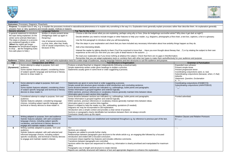

## **Explanation Outcomes:** Processes, Diagrams, Flowcharts Purpose: To explain how or why, e.g. to explain the processes involved in natural/social phenomena or to explain why something is the way it is. Explanation texts generally explain processes rather than describe them. An e answers 'how' or 'why' questions and include causes, motives or reasons. **Generic structure Language features Top Tips for the writer** A general statement to introduce the topic being explained. (In the winter some animals hibernate.) The steps or phases in a process are explained logically,in order. (**When** the nights get longer ... Written in simple present tense. (Hedgehogs wake up again in thespring.) Use of temporal connectives, e.g.first, then, after that, finally. Choose a title that shows what you are explaining, perhaps using why or how. (How do hedgehogs survivethe winter? Why does it get dark at night?) Decide whether you need to include images or other features to help your reader, e.g. diagrams, photographs,a flow chart, a text box, captions, a list or a glossary. Use the first paragraph to introduce what you will be explaining. Plan the steps in your explanation and check that you have included any necessary information about how andwhy things happen as they do.

**because** the temperature begins to drop ... **so** the hedgehog looks fora safe place to hide.) Use of causal conjunctions, e.g. so, because of this. Add a few interesting details. Interest the reader by talking directly to them (You'll be surprised to know that ... Have you ever thought about theway that ...?) or by relating the subject to their own experience at the end (So next time you see a pile of dead leaves in the autumn ...). Re-read your explanation as if you know nothing at allabout the subject. Check that there are no gaps in theinformation. Remember that you can adapt explanatory texts or combine them with other text types to make them workeffectively for your audience and purpose.

|                           | Audience: Children should listen to, speak, read and write explanation texts for a wide range of audiences, varying language features and text structures to suit the audience and purpose.                                                                              |                                                                                                                                                                                                                                                                                                                                                                                                                                                                                                                                                                                                                                                                                                             |  |  |  |
|---------------------------|--------------------------------------------------------------------------------------------------------------------------------------------------------------------------------------------------------------------------------------------------------------------------|-------------------------------------------------------------------------------------------------------------------------------------------------------------------------------------------------------------------------------------------------------------------------------------------------------------------------------------------------------------------------------------------------------------------------------------------------------------------------------------------------------------------------------------------------------------------------------------------------------------------------------------------------------------------------------------------------------------|--|--|--|
| Year                      | <b>Composition and Effect</b>                                                                                                                                                                                                                                            | <b>Text Structure &amp; Organisation</b>                                                                                                                                                                                                                                                                                                                                                                                                                                                                                                                                                                                                                                                                    |  |  |  |
| $2^{\circ}$<br>(Sycamore) | Some attempt to adapt to purpose, form and<br>audience.<br>Some stylistic features adopted, considering choice<br>of subject specific language and technical or literary<br>devices to draw reader in.                                                                   | Produce a simple flowchart or diagram independently (following a practical task).<br>Simple statements written under given headings to explain a process.<br>Statements usually given in some level or order suggesting a process.                                                                                                                                                                                                                                                                                                                                                                                                                                                                          |  |  |  |
| 3 <sup>1</sup>            | Some attempt to adapt to purpose, form and<br>audience.<br>Some stylistic features adopted, considering choice<br>of subject specific language and technical or literary<br>devices to draw reader in.                                                                   | Statements are given in some level or order suggesting a process.<br>Simple overall text structure given includes a brief introduction and concluding sentence.<br>Some divisions between sections are indicated e.g. subheadings, bullet points and paragraphs.<br>Similar information is grouped together and ordered logically.<br>Within sections, pronoun references or vocabulary choices generally maintain links between ideas.<br>Information given in each section links together.                                                                                                                                                                                                                |  |  |  |
| 4                         | Considered attempt to adapt to purpose, form and<br>audience.<br>Stylistic features adopted, considering language<br>choices, including subject specific language, and<br>technical or literary devices to draw reader in.                                               | Some divisions between sections are indicated e.g. subheadings, bullet points and paragraphs.<br>Similar information is grouped together and ordered logically.<br>Within sections, pronoun references or vocabulary choices generally maintain links between ideas.<br>Information given in each section links together.<br>Report is shaped to help the reader e.g. title, subheading, quotations (if needed).<br>Diagrams etc may be incorporated to aid explanation.<br>Introduction sets a simple context and provides a clear sense of purpose.<br>Sections or paragraphs clearly identifiable but transitions between them not always smooth.<br>Conclusion clearly sums up the report.              |  |  |  |
| 5 <sup>5</sup>            | Writing adapted to purpose, form and audience.<br>Stylistic features adopted, with well-considered<br>language choices, including subject specific<br>vocabulary, and technical or literary devices to<br>engage and maintain reader's interest.                         | $Y4+$<br>Connections between ideas are established and maintained throughout e.g. by reference to previous part of the text.                                                                                                                                                                                                                                                                                                                                                                                                                                                                                                                                                                                |  |  |  |
| 6                         | Writing carefully adapted to purpose, form and<br>audience.<br>Stylistic features adopted, with well-selected and<br>informed language choices, including subject<br>specific vocabulary, and technical or literary devices<br>to engage and maintain reader's interest. | $Y5+$<br>Sections are ordered.<br>Diagrams are added to provide further clarity.<br>Relationships between paragraphs give structure to the whole article e.g. an engaging title followed by a focused<br>introduction and ended with a focused conclusion.<br>Conclusion draws together key features and includes reflective comments.<br>Transitions between paragraphs are controlled.<br>Sections within the report are sequenced for effect e.g. information is clearly prioritised and manipulated for maximum<br>effect.<br>Paragraphs vary in length and structure to create interest.<br>Reports are carefully structured with balance of text and appropriate diagrams to enhance the explanation. |  |  |  |



**Grammar & Punctuation** *Expanded noun phrases* Present simple tense *Present progressive tense* Coordinating conjunctions (and, or, but) Subordinating conjunctions (because, *when, if, that*) *Adverbs Statement, Question, Exclamation* A . ? ! *, '* Coordinating conjunctions (*FANBOYS*) Subordinating conjunctions (*AWHITEBUS*)  $'$  " *Fronted adverbials* **:** *Relative Clauses and Relative Pronouns*  $() - , \_$  $-$  : ;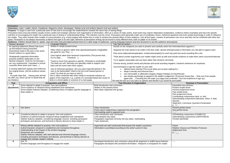

# Persuasion

**Purpose:** To argue a case from a particular point of view and to encourage the reader/listener towards the same way of seeing things. Persuasive texts (oral and written) usually involve careful and strategic selection and organisation of information, often as a series of major points. Each point may require elaboration (explanation, evidence and/or examp intention of encouraging the reader into a particular way of seeing or understanding things. This intention may be covert. Persuasive texts generally make use of vocabulary choice, rhetorical questions and even simple psyc the reader. They often include other models of communication (e.g. visual images) with written text in order to achieve the desired effect on their audience. Like all text types, variants of persuasion can occur and they c

**Outcomes:** Letter, Leaflet, Advert, Guidebook, Magazine article, Newspaper, Debate (oral and written) Speech (oral and written)

*Future Relative Clauses and Relative Pronouns Subjunctive form*  $) - , \_ ,$ 

|                                                                                                                                                                                                                                                                                                               |                                                                                                                                                                                                                                                                                                                                                                                                                                      |                                                                                                                                                                                                                                                                                                                                                                                  |                                                                                                                                           | inc reader. They unch include unch mudels or communication (e.g. visual images) with whiteh text in unch to achieve the uesined enect on their adulehoe. Ene all text types, vaniants or persuasion ca<br>types. Persuasion is not always necessarily a distinct text-type in its own right; elements of persuasion writing can be found in many different texts, both on paper or on screen.                                                  |                                                                                              |  |
|---------------------------------------------------------------------------------------------------------------------------------------------------------------------------------------------------------------------------------------------------------------------------------------------------------------|--------------------------------------------------------------------------------------------------------------------------------------------------------------------------------------------------------------------------------------------------------------------------------------------------------------------------------------------------------------------------------------------------------------------------------------|----------------------------------------------------------------------------------------------------------------------------------------------------------------------------------------------------------------------------------------------------------------------------------------------------------------------------------------------------------------------------------|-------------------------------------------------------------------------------------------------------------------------------------------|------------------------------------------------------------------------------------------------------------------------------------------------------------------------------------------------------------------------------------------------------------------------------------------------------------------------------------------------------------------------------------------------------------------------------------------------|----------------------------------------------------------------------------------------------|--|
|                                                                                                                                                                                                                                                                                                               |                                                                                                                                                                                                                                                                                                                                                                                                                                      |                                                                                                                                                                                                                                                                                                                                                                                  |                                                                                                                                           | Audience: Children should listen to, speak, read and write instructional/procedural texts for a wide range of audiences, varying language features and text structures to suit the audience and purpose.                                                                                                                                                                                                                                       |                                                                                              |  |
| Generic structure                                                                                                                                                                                                                                                                                             |                                                                                                                                                                                                                                                                                                                                                                                                                                      | Language features                                                                                                                                                                                                                                                                                                                                                                |                                                                                                                                           | <b>Top Tips for Writers</b>                                                                                                                                                                                                                                                                                                                                                                                                                    |                                                                                              |  |
|                                                                                                                                                                                                                                                                                                               | An opening statement (thesis) that sums                                                                                                                                                                                                                                                                                                                                                                                              | Written in simple present tense.                                                                                                                                                                                                                                                                                                                                                 |                                                                                                                                           | Decide on the viewpoint you want to present and carefully select the informa                                                                                                                                                                                                                                                                                                                                                                   |                                                                                              |  |
|                                                                                                                                                                                                                                                                                                               | up theviewpoint being presented.<br>(Greentrees Hotel is the best in the world.<br>School uniform is a good idea.)                                                                                                                                                                                                                                                                                                                   | Often refers to generic rather than specificparticipants (Vegetables<br>are good for you. They ).                                                                                                                                                                                                                                                                                |                                                                                                                                           | Organise the main points to be made in the best order, decide whichpersuas<br>Plan some elaboration/explanation, evidence/example(s) for each key point                                                                                                                                                                                                                                                                                        |                                                                                              |  |
|                                                                                                                                                                                                                                                                                                               | Strategically organised information<br>presents and then elaborates on the<br>desired viewpoint. (Vote for me because I<br>am very experienced. I havebeen a school                                                                                                                                                                                                                                                                  | Uses logical rather than temporal conjunctions (This proves that<br>So it's clear<br>Therefore ).<br>Tends to move from general to specific. (Thehotel is comfortable.<br>The beds are soft, thechairs are specially made to support your<br>back and all rooms have thick carpet.)                                                                                              |                                                                                                                                           | Think about counter arguments your reader might come up with and include<br>Try to appear reasonable and use facts rather than emotive comments.<br>Choose strong, positive words and phrases and avoid sounding negative. U                                                                                                                                                                                                                   |                                                                                              |  |
| councillor three times and I have)<br>A closing statement repeats and reinforces<br>the original thesis. (All the evidence shows<br>that<br>It's quite clear that  Having seen all that<br>we offer you, there can be no doubt that we<br>are thebest.)                                                       |                                                                                                                                                                                                                                                                                                                                                                                                                                      | Use of rhetorical questions. (Do you want toget left behind in the<br>race to be fashionable? Want to be the most relaxed person in<br>town? So what do you have to doto?)<br>Text is often combined with other media to emotively enhance an<br>aspect of the argument, e.g. a photo of a secluded beach, the sound of<br>birds in a forest glade or a picture of a cute puppy. |                                                                                                                                           | Use techniques to get the reader on your side:<br>address them directly (This is just what you've been waiting for.<br>adopt a friendly and informal tone;=<br>use memorable or alliterative slogans (Happy Holidays at Haze<br>use simple psychology to appeal to the reader's judgement. (Ev<br>agree that  Choosing this will make you happy and contented.<br>Re-read the text as if you have no opinion and decide if you would be persua |                                                                                              |  |
| Year                                                                                                                                                                                                                                                                                                          |                                                                                                                                                                                                                                                                                                                                                                                                                                      | <b>Composition and Effect</b>                                                                                                                                                                                                                                                                                                                                                    |                                                                                                                                           | <b>Text Structure &amp; Organisation</b>                                                                                                                                                                                                                                                                                                                                                                                                       |                                                                                              |  |
| $\mathbf{2}$<br>(Sycamore)                                                                                                                                                                                                                                                                                    | Some attempt to adapt to purpose, form and audience.<br>Some evidence of viewpoint being established and maintained.<br>draw reader in.                                                                                                                                                                                                                                                                                              | Some stylistic features adopted, considering choice of subject specific language to                                                                                                                                                                                                                                                                                              | Brief introduction and conclusion.<br>Written in the present tense.<br>Main ideas organised into groups.                                  |                                                                                                                                                                                                                                                                                                                                                                                                                                                | Expan<br>Preser<br>Preser<br>Past s<br>Past p<br>Coordi<br>Subor<br>Adver<br>Staten<br>A. ?! |  |
| $\mathbf{3}$                                                                                                                                                                                                                                                                                                  | See above                                                                                                                                                                                                                                                                                                                                                                                                                            |                                                                                                                                                                                                                                                                                                                                                                                  | Clear introduction.<br>Points about subject/issue organised into paragraphs.<br>Sub-heading used to organise texts.                       |                                                                                                                                                                                                                                                                                                                                                                                                                                                | Presei<br>Past p                                                                             |  |
| Considered attempt to adapt to purpose, form and audience.<br>4<br>Evidence of author/character viewpoint being established and maintained.<br>Stylistic features adopted, considering language choices, including persuasive<br>techniques and devices, and technical or literary devices to draw reader in. |                                                                                                                                                                                                                                                                                                                                                                                                                                      | Clear introduction and conclusion.<br>Links between key ideas.<br>Paragraphs organised correctly into key ideas. Subheading.<br>Topic sentences.                                                                                                                                                                                                                                 |                                                                                                                                           | Coordi<br>Subor<br>Fronte                                                                                                                                                                                                                                                                                                                                                                                                                      |                                                                                              |  |
| $5\phantom{.0}$                                                                                                                                                                                                                                                                                               | Writing skilfully adapted to purpose, form and audience.<br>Author/character viewpoint is established and maintained throughout.<br>Understanding of the impact or the emotive language<br>Responses are considered.<br>Stylistic features adopted, with well-selected and informed language choices,<br>including persuasive techniques and devices, and technical or literary devices to<br>engage and maintain reader's interest. |                                                                                                                                                                                                                                                                                                                                                                                  | Arguments are well constructed that answer the reader's questions.<br>Information is prioritised according to the writer's point of view. |                                                                                                                                                                                                                                                                                                                                                                                                                                                | Future<br>Relativ<br>Subjur<br>$() - , \_$                                                   |  |
| See Y5<br>6<br>Emotive language used throughout to engage the reader.                                                                                                                                                                                                                                         |                                                                                                                                                                                                                                                                                                                                                                                                                                      | Developed introduction and conclusion using all the argument or leaflet layout features.<br>$\sim 1.1$<br>Paragraphs developed with prioritised information. Viewpoint is transparent for reader.                                                                                                                                                                                |                                                                                                                                           |                                                                                                                                                                                                                                                                                                                                                                                                                                                |                                                                                              |  |



nformationthat supports it.

ersuasive information you will add to support each.

point but avoid sounding like a list.

nclude evidence to make them seem incorrect/irrelevant.

tive. Useshort sentences for emphasis.

ng for.)

HazelHouse) ent. (Everyone knows that ... Nine out of ten people tented. You'd be foolishnot to sign up.) bersuaded. **Grammar & Punctuation** 

*Expanded noun phrases* Present simple tense *Present progressive tense* Past simple tense *Past progressive tense* Coordinating conjunctions (and, or, but) Subordinating conjunctions (because, *when, if, that*) *Adverbs Statement, Command, Question Exclamation*  $A. ? !$ ,  $'$ *Present perfect tense Past perfect tense*

Coordinating conjunctions (*FANBOYS*) Subordinating conjunctions (*AWHITEBUS*) *Fronted adverbials*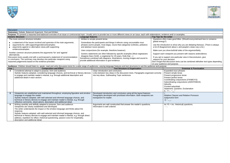

| <b>Discussion</b>                                                                                                                                                                                                            |                                                                                                                                                                                                                                                                                                                                                                                                                                                                                                                                                 |                                                                                                                                                                                                                                |                                                                                                                                                                           |                                                                                                                                                                                                                                 |                                                                   |  |
|------------------------------------------------------------------------------------------------------------------------------------------------------------------------------------------------------------------------------|-------------------------------------------------------------------------------------------------------------------------------------------------------------------------------------------------------------------------------------------------------------------------------------------------------------------------------------------------------------------------------------------------------------------------------------------------------------------------------------------------------------------------------------------------|--------------------------------------------------------------------------------------------------------------------------------------------------------------------------------------------------------------------------------|---------------------------------------------------------------------------------------------------------------------------------------------------------------------------|---------------------------------------------------------------------------------------------------------------------------------------------------------------------------------------------------------------------------------|-------------------------------------------------------------------|--|
|                                                                                                                                                                                                                              | <b>Outcomes: Debate, Balanced Argument, Oral and Written</b>                                                                                                                                                                                                                                                                                                                                                                                                                                                                                    |                                                                                                                                                                                                                                |                                                                                                                                                                           |                                                                                                                                                                                                                                 |                                                                   |  |
|                                                                                                                                                                                                                              | Purpose: To present a reasoned and balanced overview of an issue or controversial topic. Usually aims to provide two or more different views on an issue, each with elaborations, evidence and/ or examples.                                                                                                                                                                                                                                                                                                                                    |                                                                                                                                                                                                                                |                                                                                                                                                                           |                                                                                                                                                                                                                                 |                                                                   |  |
|                                                                                                                                                                                                                              | <b>Generic Structure</b>                                                                                                                                                                                                                                                                                                                                                                                                                                                                                                                        | <b>Language features</b>                                                                                                                                                                                                       |                                                                                                                                                                           | Top Tips for the writer                                                                                                                                                                                                         |                                                                   |  |
| The most common structure includes:<br>a statement of the issues involved and apreview of the main arguments;<br>arguments for, with supportingevidence/examples;<br>arguments against or alternative views, with supporting |                                                                                                                                                                                                                                                                                                                                                                                                                                                                                                                                                 | Written in simple present tense.<br>Generalises the participants and things it refersto using uncountable noun<br>phrases (some people, most dogs), nouns that categorise (vehicles, pollution)<br>and abstract nouns (power). |                                                                                                                                                                           |                                                                                                                                                                                                                                 | Questions often make good titles. (Sh<br>global energy?)          |  |
|                                                                                                                                                                                                                              |                                                                                                                                                                                                                                                                                                                                                                                                                                                                                                                                                 |                                                                                                                                                                                                                                |                                                                                                                                                                           | Use the introduction to show why you<br>a lot of disagreement about x and peo                                                                                                                                                   |                                                                   |  |
| evidence/examples.<br>Another common structure presents the arguments 'for' and 'against'                                                                                                                                    |                                                                                                                                                                                                                                                                                                                                                                                                                                                                                                                                                 |                                                                                                                                                                                                                                | Uses conjunctions (for example, therefore, however).                                                                                                                      |                                                                                                                                                                                                                                 | Make sure you show both/all sides of                              |  |
|                                                                                                                                                                                                                              | alternatively.                                                                                                                                                                                                                                                                                                                                                                                                                                                                                                                                  |                                                                                                                                                                                                                                | Generic statements are often followed by specific examples (Most vegetarians                                                                                              |                                                                                                                                                                                                                                 | Support each viewpoint you present v                              |  |
| Discussion texts usually end with a summaryand a statement of recommendation<br>or conclusion. The summary may develop one particular viewpoint using<br>reasoned judgements based on the evidence provided.                 |                                                                                                                                                                                                                                                                                                                                                                                                                                                                                                                                                 | disagree. Dave Smith, a vegetarian for 20 years, finds that )<br>Sometimes combined with diagrams, illustrations, moving images and sound to<br>provide additional information or give evidence.                               |                                                                                                                                                                           | If you opt to support one particular vie<br>reasons for your decision.<br>Don't forget that discussion texts can b<br>on your audience and purpose.                                                                             |                                                                   |  |
|                                                                                                                                                                                                                              | Audience: Children should listen to, speak, read and write discussion texts for a wide range of audiences, varying language features and text structures to suit the audience and purpose.                                                                                                                                                                                                                                                                                                                                                      |                                                                                                                                                                                                                                |                                                                                                                                                                           |                                                                                                                                                                                                                                 |                                                                   |  |
| Year                                                                                                                                                                                                                         | <b>Composition and Effect</b>                                                                                                                                                                                                                                                                                                                                                                                                                                                                                                                   |                                                                                                                                                                                                                                | <b>Text Structure &amp; Organisation</b>                                                                                                                                  |                                                                                                                                                                                                                                 | Gra                                                               |  |
|                                                                                                                                                                                                                              | Considered attempt to adapt to purpose, form and audience.<br>$\overline{\mathbf{4}}$<br>Stylistic features adopted, considering language choices, and technical or literary devices<br>to engage and maintain reader's interest, e.g. through additional description and<br>additional detail in each section.                                                                                                                                                                                                                                 |                                                                                                                                                                                                                                | Clear introduction and conclusion.<br>Links between key ideas in the discussion texts. Paragraphs organised correctly<br>into key ideas. Subheading Topic sentences.      | Expanded noun phrases<br>Present simple tense<br>Present progressive tens<br>Present perfect tense<br>Coordinating conjunction<br>Subordinating conjunctio<br>Adverbs<br>Fronted adverbials<br>Statement, Question, Ex<br>A. ?! |                                                                   |  |
| $5\overline{)}$                                                                                                                                                                                                              | Viewpoints are established and maintained throughout, employing figurative and emotive<br>language to engage the reader.<br>Stylistic features adopted, with well-selected and informed language choices, and<br>technical or literary devices to engage and maintain reader's interest, e.g. through<br>reflective comments, observations, description and additional detail.                                                                                                                                                                  |                                                                                                                                                                                                                                | Developed introduction and conclusion using all the layout features.<br>Paragraphs developed with prioritised information. Both viewpoints are<br>transparent for reader. |                                                                                                                                                                                                                                 | $+$<br>Relative Clauses and Re<br>Subjunctive form<br>$() - , \_$ |  |
| 6                                                                                                                                                                                                                            | Writing carefully and skilfully adapted to purpose, form and audience.<br>Viewpoints are clearly established and developed.<br>The writer understands the impact or the emotive language and thinks about the<br>response.<br>Stylistic features adopted, with well-selected and informed language choices, and<br>technical or literary devices to engage and maintain reader's interest, e.g. through direct<br>address; repetition for effect; rhetorical questioning, passive voice for impartiality,<br>description and additional detail. |                                                                                                                                                                                                                                | Arguments are well constructed that answer the reader's questions.<br>Information is well ordered                                                                         |                                                                                                                                                                                                                                 | As $Y5$ + inc. rhetorical) o<br>$-1$ ;                            |  |



good titles. (Should everyonetravel less to conserve show why you are debating theissue. (There is always bout x and people's views vary a lot.) oth/all sides of the argumentfairly. t you present with reasons andevidence. e particular view in theconclusion, give on. ion texts can be combined withother text types depending urpose. **Grammar & Punctuation** noun phrases mple tense ogressive tense erfect tense ng conjunctions (FANBOYS) Subordinating conjunctions (*AWHITEBUS*) *Fronted adverbials* Question, Exclamation

*Relative Clauses and Relative Pronouns Subjunctive form*

ic. rhetorical) questions,